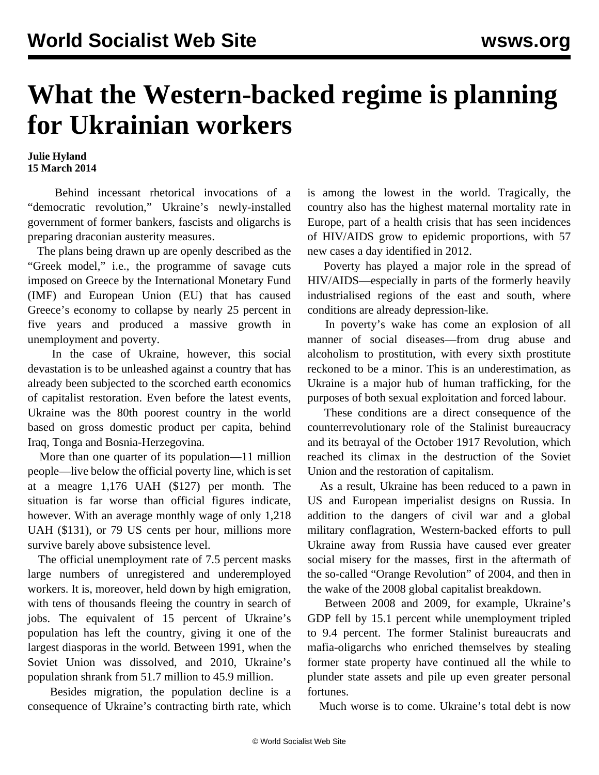## **What the Western-backed regime is planning for Ukrainian workers**

## **Julie Hyland 15 March 2014**

 Behind incessant rhetorical invocations of a "democratic revolution," Ukraine's newly-installed government of former bankers, fascists and oligarchs is preparing draconian austerity measures.

 The plans being drawn up are openly described as the "Greek model," i.e., the programme of savage cuts imposed on Greece by the International Monetary Fund (IMF) and European Union (EU) that has caused Greece's economy to collapse by nearly 25 percent in five years and produced a massive growth in unemployment and poverty.

 In the case of Ukraine, however, this social devastation is to be unleashed against a country that has already been subjected to the scorched earth economics of capitalist restoration. Even before the latest events, Ukraine was the 80th poorest country in the world based on gross domestic product per capita, behind Iraq, Tonga and Bosnia-Herzegovina.

 More than one quarter of its population—11 million people—live below the official poverty line, which is set at a meagre 1,176 UAH (\$127) per month. The situation is far worse than official figures indicate, however. With an average monthly wage of only 1,218 UAH (\$131), or 79 US cents per hour, millions more survive barely above subsistence level.

 The official unemployment rate of 7.5 percent masks large numbers of unregistered and underemployed workers. It is, moreover, held down by high emigration, with tens of thousands fleeing the country in search of jobs. The equivalent of 15 percent of Ukraine's population has left the country, giving it one of the largest diasporas in the world. Between 1991, when the Soviet Union was dissolved, and 2010, Ukraine's population shrank from 51.7 million to 45.9 million.

 Besides migration, the population decline is a consequence of Ukraine's contracting birth rate, which is among the lowest in the world. Tragically, the country also has the highest maternal mortality rate in Europe, part of a health crisis that has seen incidences of HIV/AIDS grow to epidemic proportions, with 57 new cases a day identified in 2012.

 Poverty has played a major role in the spread of HIV/AIDS—especially in parts of the formerly heavily industrialised regions of the east and south, where conditions are already depression-like.

 In poverty's wake has come an explosion of all manner of social diseases—from drug abuse and alcoholism to prostitution, with every sixth prostitute reckoned to be a minor. This is an underestimation, as Ukraine is a major hub of human trafficking, for the purposes of both sexual exploitation and forced labour.

 These conditions are a direct consequence of the counterrevolutionary role of the Stalinist bureaucracy and its betrayal of the October 1917 Revolution, which reached its climax in the destruction of the Soviet Union and the restoration of capitalism.

 As a result, Ukraine has been reduced to a pawn in US and European imperialist designs on Russia. In addition to the dangers of civil war and a global military conflagration, Western-backed efforts to pull Ukraine away from Russia have caused ever greater social misery for the masses, first in the aftermath of the so-called "Orange Revolution" of 2004, and then in the wake of the 2008 global capitalist breakdown.

 Between 2008 and 2009, for example, Ukraine's GDP fell by 15.1 percent while unemployment tripled to 9.4 percent. The former Stalinist bureaucrats and mafia-oligarchs who enriched themselves by stealing former state property have continued all the while to plunder state assets and pile up even greater personal fortunes.

Much worse is to come. Ukraine's total debt is now